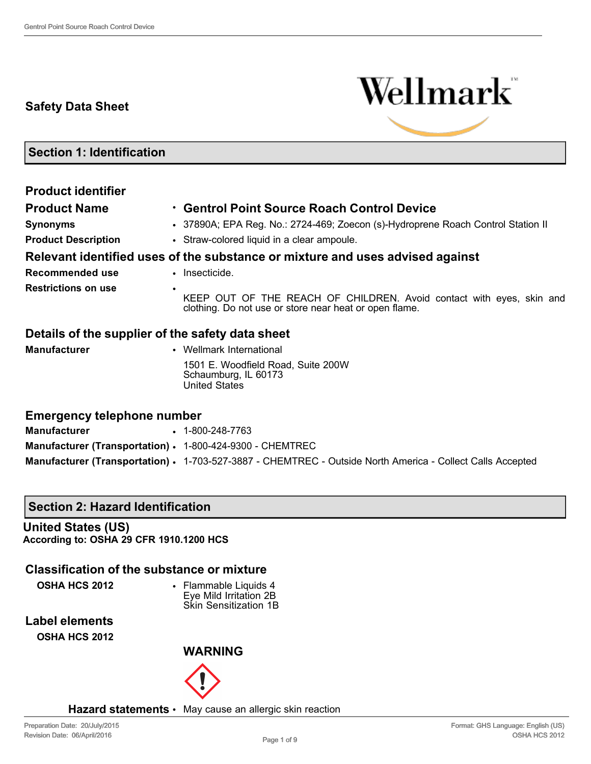## **Safety Data Sheet**



**Section 1: Identification**

| <b>Product identifier</b>                        |                                                                                                                                     |
|--------------------------------------------------|-------------------------------------------------------------------------------------------------------------------------------------|
| <b>Product Name</b>                              | • Gentrol Point Source Roach Control Device                                                                                         |
| <b>Synonyms</b>                                  | • 37890A; EPA Reg. No.: 2724-469; Zoecon (s)-Hydroprene Roach Control Station II                                                    |
| <b>Product Description</b>                       | • Straw-colored liquid in a clear ampoule.                                                                                          |
|                                                  | Relevant identified uses of the substance or mixture and uses advised against                                                       |
| Recommended use                                  | • Insecticide.                                                                                                                      |
| <b>Restrictions on use</b>                       | ٠<br>KEEP OUT OF THE REACH OF CHILDREN. Avoid contact with eyes, skin and<br>clothing. Do not use or store near heat or open flame. |
| Details of the supplier of the safety data sheet |                                                                                                                                     |
| <b>Manufacturer</b>                              | • Wellmark International                                                                                                            |
|                                                  | 1501 E. Woodfield Road, Suite 200W<br>Schaumburg, IL 60173<br><b>United States</b>                                                  |
| <b>Emergency telephone number</b>                |                                                                                                                                     |
| <b>Manufacturer</b>                              | $\cdot$ 1-800-248-7763                                                                                                              |

| Manufacturer (Transportation) · 1-800-424-9300 - CHEMTREC |  |
|-----------------------------------------------------------|--|
|-----------------------------------------------------------|--|

**Manufacturer (Transportation)** • 1-703-527-3887 - CHEMTREC - Outside North America - Collect Calls Accepted

#### **Section 2: Hazard Identification**

**United States (US) According to: OSHA 29 CFR 1910.1200 HCS**

## **Classification of the substance or mixture**

**OSHA HCS 2012** • Flammable Liquids 4 Eye Mild Irritation 2B Skin Sensitization 1B

**Label elements OSHA HCS 2012**



**Hazard statements** • May cause an allergic skin reaction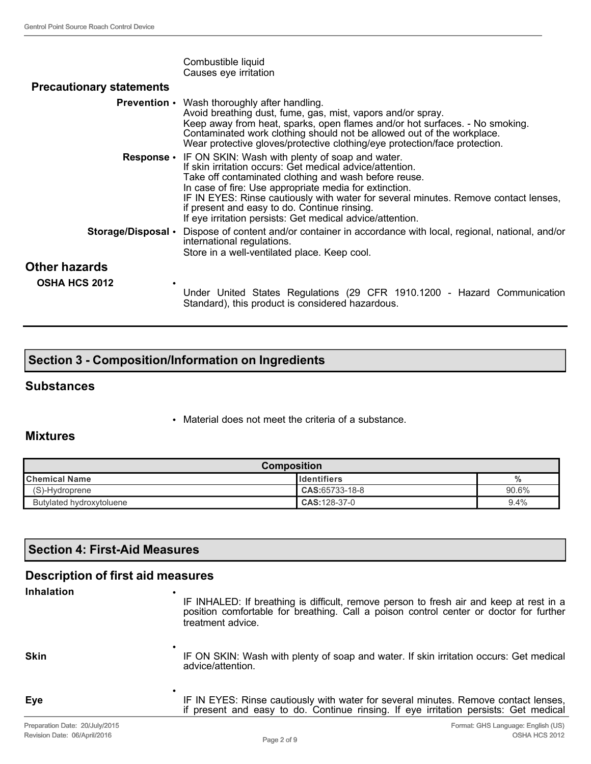|                                 | Combustible liquid<br>Causes eye irritation                                                                                                                                                                                                                                                                                                                                                                                                          |
|---------------------------------|------------------------------------------------------------------------------------------------------------------------------------------------------------------------------------------------------------------------------------------------------------------------------------------------------------------------------------------------------------------------------------------------------------------------------------------------------|
| <b>Precautionary statements</b> |                                                                                                                                                                                                                                                                                                                                                                                                                                                      |
|                                 | <b>Prevention</b> • Wash thoroughly after handling.<br>Avoid breathing dust, fume, gas, mist, vapors and/or spray.<br>Keep away from heat, sparks, open flames and/or hot surfaces. - No smoking.<br>Contaminated work clothing should not be allowed out of the workplace.<br>Wear protective gloves/protective clothing/eye protection/face protection.                                                                                            |
|                                 | <b>Response</b> • IF ON SKIN: Wash with plenty of soap and water.<br>If skin irritation occurs: Get medical advice/attention.<br>Take off contaminated clothing and wash before reuse.<br>In case of fire: Use appropriate media for extinction.<br>IF IN EYES: Rinse cautiously with water for several minutes. Remove contact lenses,<br>if present and easy to do. Continue rinsing.<br>If eye irritation persists: Get medical advice/attention. |
| Storage/Disposal •              | Dispose of content and/or container in accordance with local, regional, national, and/or<br>international regulations.<br>Store in a well-ventilated place. Keep cool.                                                                                                                                                                                                                                                                               |
| Other hazards                   |                                                                                                                                                                                                                                                                                                                                                                                                                                                      |
| <b>OSHA HCS 2012</b>            | Under United States Regulations (29 CFR 1910.1200 - Hazard Communication<br>Standard), this product is considered hazardous.                                                                                                                                                                                                                                                                                                                         |

## **Section 3 - Composition/Information on Ingredients**

•

#### **Substances**

• Material does not meet the criteria of a substance.

#### **Mixtures**

| <b>Composition</b>       |                      |         |
|--------------------------|----------------------|---------|
| <b>I</b> Chemical Name   | <b>I</b> Identifiers | $\%$    |
| (S)-Hydroprene           | $CAS: 65733-18-8$    | 90.6%   |
| Butylated hydroxytoluene | $CAS:128-37-0$       | $9.4\%$ |

### **Section 4: First-Aid Measures**

## **Description of first aid measures**

**Inhalation** •

IF INHALED: If breathing is difficult, remove person to fresh air and keep at rest in a position comfortable for breathing. Call a poison control center or doctor for further treatment advice.

**Skin**

**Eye**

IF ON SKIN: Wash with plenty of soap and water. If skin irritation occurs: Get medical advice/attention.

• IF IN EYES: Rinse cautiously with water for several minutes. Remove contact lenses, if present and easy to do. Continue rinsing. If eye irritation persists: Get medical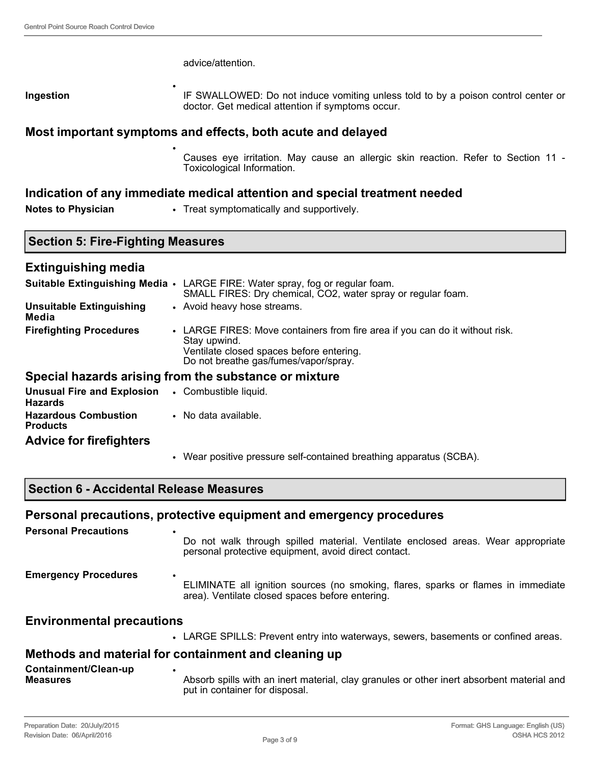## advice/attention. **Ingestion** • IF SWALLOWED: Do not induce vomiting unless told to by a poison control center or doctor. Get medical attention if symptoms occur. **Most important symptoms and effects, both acute and delayed** • Causes eye irritation. May cause an allergic skin reaction. Refer to Section 11 - Toxicological Information. **Indication of any immediate medical attention and special treatment needed** Notes to Physician • Treat symptomatically and supportively. **Section 5: Fire-Fighting Measures**

| <b>Extinguishing media</b>                          |                                                                                                                                                                                   |
|-----------------------------------------------------|-----------------------------------------------------------------------------------------------------------------------------------------------------------------------------------|
|                                                     | Suitable Extinguishing Media • LARGE FIRE: Water spray, fog or regular foam.<br>SMALL FIRES: Dry chemical, CO2, water spray or regular foam.                                      |
| <b>Unsuitable Extinguishing</b><br>Media            | • Avoid heavy hose streams.                                                                                                                                                       |
| <b>Firefighting Procedures</b>                      | • LARGE FIRES: Move containers from fire area if you can do it without risk.<br>Stay upwind.<br>Ventilate closed spaces before entering.<br>Do not breathe gas/fumes/vapor/spray. |
|                                                     | Special hazards arising from the substance or mixture                                                                                                                             |
| <b>Unusual Fire and Explosion</b><br><b>Hazards</b> | • Combustible liquid.                                                                                                                                                             |
| <b>Hazardous Combustion</b><br><b>Products</b>      | • No data available.                                                                                                                                                              |
| <b>Advice for firefighters</b>                      |                                                                                                                                                                                   |

• Wear positive pressure self-contained breathing apparatus (SCBA).

## **Section 6 - Accidental Release Measures**

## **Personal precautions, protective equipment and emergency procedures**

| <b>Personal Precautions</b>      | Do not walk through spilled material. Ventilate enclosed areas. Wear appropriate<br>personal protective equipment, avoid direct contact. |
|----------------------------------|------------------------------------------------------------------------------------------------------------------------------------------|
| <b>Emergency Procedures</b>      | ELIMINATE all ignition sources (no smoking, flares, sparks or flames in immediate<br>area). Ventilate closed spaces before entering.     |
| <b>Environmental precautions</b> |                                                                                                                                          |
|                                  | • LARGE SPILLS: Prevent entry into waterways, sewers, basements or confined areas.                                                       |
|                                  | Methods and material for containment and cleaning up                                                                                     |
| Containment/Clean-up             |                                                                                                                                          |

| Containment/Clean-up |                                                                                                                             |
|----------------------|-----------------------------------------------------------------------------------------------------------------------------|
| <b>Measures</b>      | Absorb spills with an inert material, clay granules or other inert absorbent material and<br>put in container for disposal. |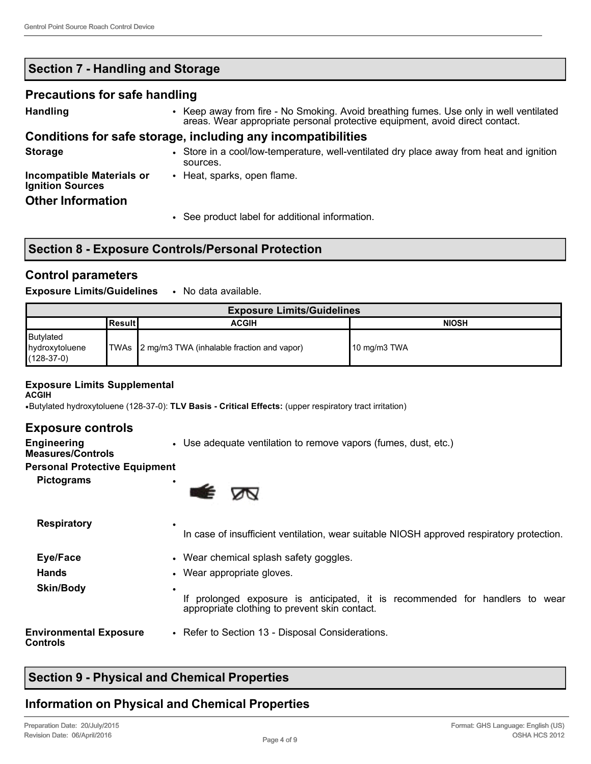## **Section 7 - Handling and Storage**

#### **Precautions for safe handling**

**Handling** • Keep away from fire - No Smoking. Avoid breathing fumes. Use only in well ventilated areas. Wear appropriate personal protective equipment, avoid direct contact.

### **Conditions for safe storage, including any incompatibilities**

**Storage** • Store in a cool/low-temperature, well-ventilated dry place away from heat and ignition sources. **Incompatible Materials or Ignition Sources** • Heat, sparks, open flame. **Other Information** • See product label for additional information.

## **Section 8 - Exposure Controls/Personal Protection**

## **Control parameters**

#### **Exposure Limits/Guidelines** • No data available.

| <b>Exposure Limits/Guidelines</b>           |            |                                                 |               |
|---------------------------------------------|------------|-------------------------------------------------|---------------|
|                                             | l Result I | <b>ACGIH</b>                                    | <b>NIOSH</b>  |
| Butylated<br>hydroxytoluene<br>$(128-37-0)$ |            | TWAs 2 mg/m3 TWA (inhalable fraction and vapor) | ∥10 mg/m3 TWA |

#### **Exposure Limits Supplemental**

**ACGIH**

•Butylated hydroxytoluene (128-37-0): **TLV Basis - Critical Effects:** (upper respiratory tract irritation)

### **Exposure controls**

**Engineering** 

• Use adequate ventilation to remove vapors (fumes, dust, etc.)

## **Measures/Controls**

#### **Personal Protective Equipment**

**Pictograms** •



| <b>Respiratory</b>                               | ٠<br>In case of insufficient ventilation, wear suitable NIOSH approved respiratory protection.                                                                       |
|--------------------------------------------------|----------------------------------------------------------------------------------------------------------------------------------------------------------------------|
| Eye/Face                                         | • Wear chemical splash safety goggles.                                                                                                                               |
| <b>Hands</b><br><b>Skin/Body</b>                 | • Wear appropriate gloves.<br>٠<br>prolonged exposure is anticipated, it is recommended for handlers to wear<br>lf.<br>appropriate clothing to prevent skin contact. |
| <b>Environmental Exposure</b><br><b>Controls</b> | • Refer to Section 13 - Disposal Considerations.                                                                                                                     |

## **Section 9 - Physical and Chemical Properties**

## **Information on Physical and Chemical Properties**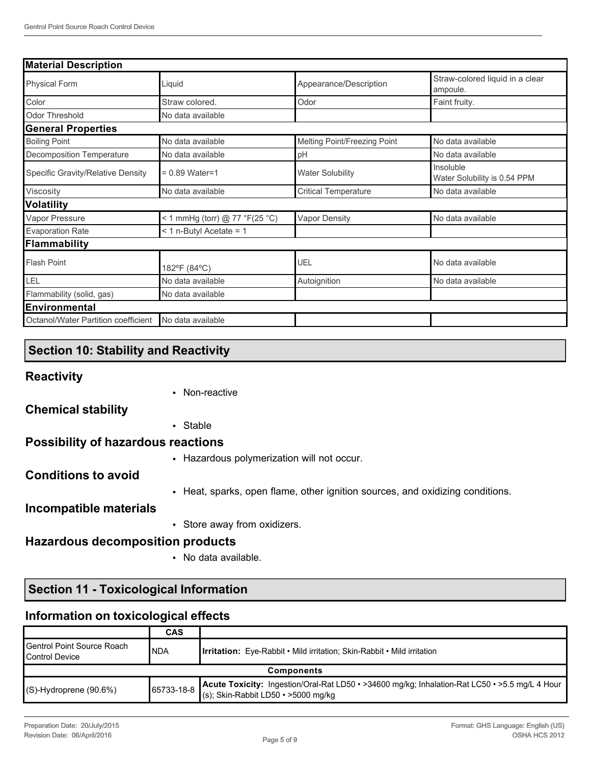| <b>Material Description</b>         |                                |                              |                                             |  |
|-------------------------------------|--------------------------------|------------------------------|---------------------------------------------|--|
| <b>Physical Form</b>                | Liquid                         | Appearance/Description       | Straw-colored liquid in a clear<br>ampoule. |  |
| Color                               | Straw colored.                 | Odor                         | Faint fruity.                               |  |
| <b>Odor Threshold</b>               | No data available              |                              |                                             |  |
| <b>General Properties</b>           |                                |                              |                                             |  |
| <b>Boiling Point</b>                | No data available              | Melting Point/Freezing Point | No data available                           |  |
| Decomposition Temperature           | No data available              | pH                           | No data available                           |  |
| Specific Gravity/Relative Density   | $= 0.89$ Water=1               | <b>Water Solubility</b>      | Insoluble<br>Water Solubility is 0.54 PPM   |  |
| Viscosity                           | No data available              | <b>Critical Temperature</b>  | No data available                           |  |
| <b>Volatility</b>                   |                                |                              |                                             |  |
| Vapor Pressure                      | < 1 mmHg (torr) @ 77 °F(25 °C) | <b>Vapor Density</b>         | No data available                           |  |
| <b>Evaporation Rate</b>             | $<$ 1 n-Butyl Acetate = 1      |                              |                                             |  |
| Flammability                        |                                |                              |                                             |  |
| <b>Flash Point</b>                  | 182°F (84°C)                   | UEL                          | No data available                           |  |
| LEL                                 | No data available              | Autoignition                 | No data available                           |  |
| Flammability (solid, gas)           | No data available              |                              |                                             |  |
| Environmental                       |                                |                              |                                             |  |
| Octanol/Water Partition coefficient | No data available              |                              |                                             |  |

## **Section 10: Stability and Reactivity**

# **Reactivity**

|                                           | • Non-reactive                                                                |
|-------------------------------------------|-------------------------------------------------------------------------------|
| <b>Chemical stability</b>                 |                                                                               |
|                                           | • Stable                                                                      |
| <b>Possibility of hazardous reactions</b> |                                                                               |
|                                           | • Hazardous polymerization will not occur.                                    |
| <b>Conditions to avoid</b>                |                                                                               |
|                                           | • Heat, sparks, open flame, other ignition sources, and oxidizing conditions. |
| Incompatible materials                    |                                                                               |
|                                           | • Store away from oxidizers.                                                  |
| <b>Hazardous decomposition products</b>   |                                                                               |

• No data available.

## **Section 11 - Toxicological Information**

## **Information on toxicological effects**

|                                                                | <b>CAS</b> |                                                                                                                                                |
|----------------------------------------------------------------|------------|------------------------------------------------------------------------------------------------------------------------------------------------|
| <b>I</b> Gentrol Point Source Roach<br><b>I</b> Control Device | <b>NDA</b> | <b>Irritation:</b> Eye-Rabbit • Mild irritation: Skin-Rabbit • Mild irritation                                                                 |
| <b>Components</b>                                              |            |                                                                                                                                                |
| $(S)$ -Hydroprene (90.6%)                                      | 65733-18-8 | Acute Toxicity: Ingestion/Oral-Rat LD50 · >34600 mg/kg; Inhalation-Rat LC50 · >5.5 mg/L 4 Hour<br>$(s)$ ; Skin-Rabbit LD50 $\cdot$ >5000 mg/kg |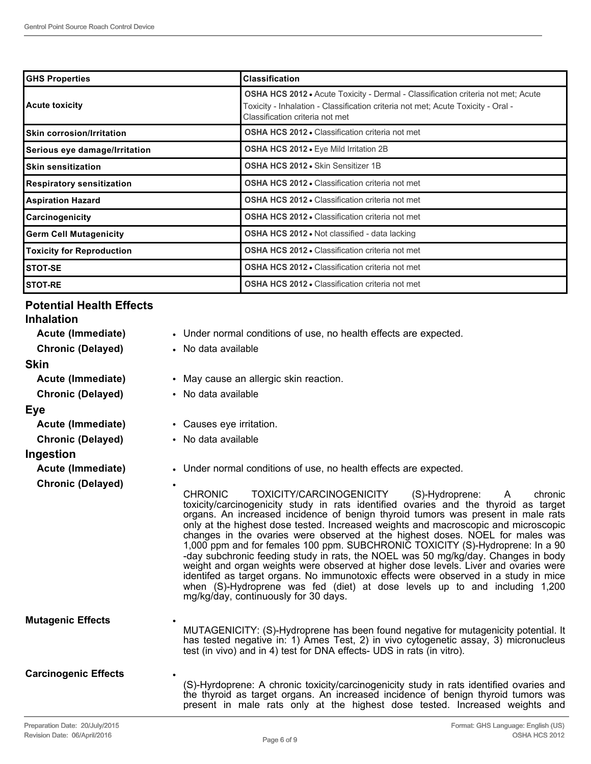| <b>GHS Properties</b>            | <b>Classification</b>                                                                                                                                                                                          |
|----------------------------------|----------------------------------------------------------------------------------------------------------------------------------------------------------------------------------------------------------------|
| <b>Acute toxicity</b>            | <b>OSHA HCS 2012 •</b> Acute Toxicity - Dermal - Classification criteria not met; Acute<br>Toxicity - Inhalation - Classification criteria not met; Acute Toxicity - Oral -<br>Classification criteria not met |
| <b>Skin corrosion/Irritation</b> | <b>OSHA HCS 2012 • Classification criteria not met</b>                                                                                                                                                         |
| Serious eye damage/Irritation    | <b>OSHA HCS 2012 •</b> Eye Mild Irritation 2B                                                                                                                                                                  |
| <b>Skin sensitization</b>        | OSHA HCS 2012 . Skin Sensitizer 1B                                                                                                                                                                             |
| <b>Respiratory sensitization</b> | <b>OSHA HCS 2012 • Classification criteria not met</b>                                                                                                                                                         |
| <b>Aspiration Hazard</b>         | <b>OSHA HCS 2012 • Classification criteria not met</b>                                                                                                                                                         |
| <b>Carcinogenicity</b>           | <b>OSHA HCS 2012 • Classification criteria not met</b>                                                                                                                                                         |
| <b>Germ Cell Mutagenicity</b>    | <b>OSHA HCS 2012 • Not classified - data lacking</b>                                                                                                                                                           |
| <b>Toxicity for Reproduction</b> | <b>OSHA HCS 2012 • Classification criteria not met</b>                                                                                                                                                         |
| <b>STOT-SE</b>                   | <b>OSHA HCS 2012 • Classification criteria not met</b>                                                                                                                                                         |
| <b>ISTOT-RE</b>                  | <b>OSHA HCS 2012 - Classification criteria not met</b>                                                                                                                                                         |

## **Potential Health Effects**

#### **Inhalation**

| Acute (Immediate)           | • Under normal conditions of use, no health effects are expected.                                                                                                                                                                                                                                                                                                                                                                                                                                                                                                                                                                                                                                                                                                                                                                                                                                            |
|-----------------------------|--------------------------------------------------------------------------------------------------------------------------------------------------------------------------------------------------------------------------------------------------------------------------------------------------------------------------------------------------------------------------------------------------------------------------------------------------------------------------------------------------------------------------------------------------------------------------------------------------------------------------------------------------------------------------------------------------------------------------------------------------------------------------------------------------------------------------------------------------------------------------------------------------------------|
| <b>Chronic (Delayed)</b>    | • No data available                                                                                                                                                                                                                                                                                                                                                                                                                                                                                                                                                                                                                                                                                                                                                                                                                                                                                          |
| Skin                        |                                                                                                                                                                                                                                                                                                                                                                                                                                                                                                                                                                                                                                                                                                                                                                                                                                                                                                              |
| Acute (Immediate)           | • May cause an allergic skin reaction.                                                                                                                                                                                                                                                                                                                                                                                                                                                                                                                                                                                                                                                                                                                                                                                                                                                                       |
| <b>Chronic (Delayed)</b>    | • No data available                                                                                                                                                                                                                                                                                                                                                                                                                                                                                                                                                                                                                                                                                                                                                                                                                                                                                          |
| Eye                         |                                                                                                                                                                                                                                                                                                                                                                                                                                                                                                                                                                                                                                                                                                                                                                                                                                                                                                              |
| Acute (Immediate)           | • Causes eye irritation.                                                                                                                                                                                                                                                                                                                                                                                                                                                                                                                                                                                                                                                                                                                                                                                                                                                                                     |
| <b>Chronic (Delayed)</b>    | • No data available                                                                                                                                                                                                                                                                                                                                                                                                                                                                                                                                                                                                                                                                                                                                                                                                                                                                                          |
| Ingestion                   |                                                                                                                                                                                                                                                                                                                                                                                                                                                                                                                                                                                                                                                                                                                                                                                                                                                                                                              |
| Acute (Immediate)           | • Under normal conditions of use, no health effects are expected.                                                                                                                                                                                                                                                                                                                                                                                                                                                                                                                                                                                                                                                                                                                                                                                                                                            |
| <b>Chronic (Delayed)</b>    | <b>CHRONIC</b><br>TOXICITY/CARCINOGENICITY<br>(S)-Hydroprene:<br>chronic<br>A<br>toxicity/carcinogenicity study in rats identified ovaries and the thyroid as target<br>organs. An increased incidence of benign thyroid tumors was present in male rats<br>only at the highest dose tested. Increased weights and macroscopic and microscopic<br>changes in the ovaries were observed at the highest doses. NOEL for males was<br>1,000 ppm and for females 100 ppm. SUBCHRONIC TOXICITY (S)-Hydroprene: In a 90<br>-day subchronic feeding study in rats, the NOEL was 50 mg/kg/day. Changes in body<br>weight and organ weights were observed at higher dose levels. Liver and ovaries were<br>identifed as target organs. No immunotoxic effects were observed in a study in mice<br>when (S)-Hydroprene was fed (diet) at dose levels up to and including 1,200<br>mg/kg/day, continuously for 30 days. |
| <b>Mutagenic Effects</b>    | MUTAGENICITY: (S)-Hydroprene has been found negative for mutagenicity potential. It<br>has tested negative in: 1) Ames Test, 2) in vivo cytogenetic assay, 3) micronucleus<br>test (in vivo) and in 4) test for DNA effects- UDS in rats (in vitro).                                                                                                                                                                                                                                                                                                                                                                                                                                                                                                                                                                                                                                                         |
| <b>Carcinogenic Effects</b> | ٠                                                                                                                                                                                                                                                                                                                                                                                                                                                                                                                                                                                                                                                                                                                                                                                                                                                                                                            |

(S)-Hyrdoprene: A chronic toxicity/carcinogenicity study in rats identified ovaries and the thyroid as target organs. An increased incidence of benign thyroid tumors was present in male rats only at the highest dose tested. Increased weights and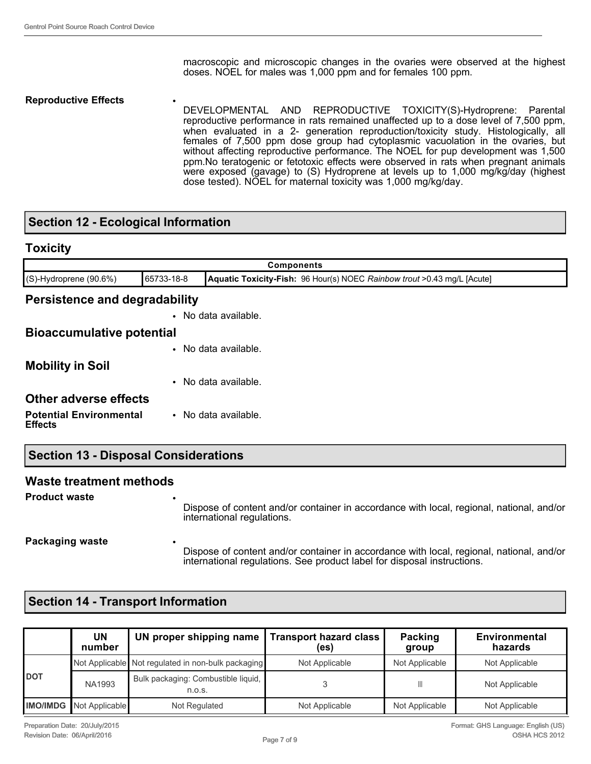macroscopic and microscopic changes in the ovaries were observed at the highest doses. NOEL for males was 1,000 ppm and for females 100 ppm.

**Reproductive Effects** • DEVELOPMENTAL AND REPRODUCTIVE TOXICITY(S)-Hydroprene: Parental reproductive performance in rats remained unaffected up to a dose level of 7,500 ppm, when evaluated in a 2- generation reproduction/toxicity study. Histologically, all females of 7,500 ppm dose group had cytoplasmic vacuolation in the ovaries, but without affecting reproductive performance. The NOEL for pup development was 1,500 ppm.No teratogenic or fetotoxic effects were observed in rats when pregnant animals were exposed (gavage) to (S) Hydroprene at levels up to 1,000 mg/kg/day (highest dose tested). NOEL for maternal toxicity was 1,000 mg/kg/day.

### **Section 12 - Ecological Information**

| <b>Toxicity</b><br><b>Components</b>             |  |                      |
|--------------------------------------------------|--|----------------------|
|                                                  |  |                      |
| <b>Persistence and degradability</b>             |  |                      |
|                                                  |  | • No data available. |
| <b>Bioaccumulative potential</b>                 |  |                      |
|                                                  |  | • No data available. |
| <b>Mobility in Soil</b>                          |  |                      |
|                                                  |  | • No data available. |
| <b>Other adverse effects</b>                     |  |                      |
| <b>Potential Environmental</b><br><b>Effects</b> |  | • No data available. |
| <b>Section 13 - Disposal Considerations</b>      |  |                      |
| <b>Waste treatment methods</b>                   |  |                      |

**Product waste** 

Dispose of content and/or container in accordance with local, regional, national, and/or international regulations.

**Packaging waste** 

Dispose of content and/or container in accordance with local, regional, national, and/or international regulations. See product label for disposal instructions.

### **Section 14 - Transport Information**

|      | UN<br>number                   | UN proper shipping name   Transport hazard class   | (es)           | <b>Packing</b><br>group | <b>Environmental</b><br>hazards |
|------|--------------------------------|----------------------------------------------------|----------------|-------------------------|---------------------------------|
|      |                                | Not Applicable Not regulated in non-bulk packaging | Not Applicable | Not Applicable          | Not Applicable                  |
| Idot | <b>NA1993</b>                  | Bulk packaging: Combustible liquid,<br>n.o.s.      |                | Ш                       | Not Applicable                  |
|      | <b>IMO/IMDG</b> Not Applicable | Not Regulated                                      | Not Applicable | Not Applicable          | Not Applicable                  |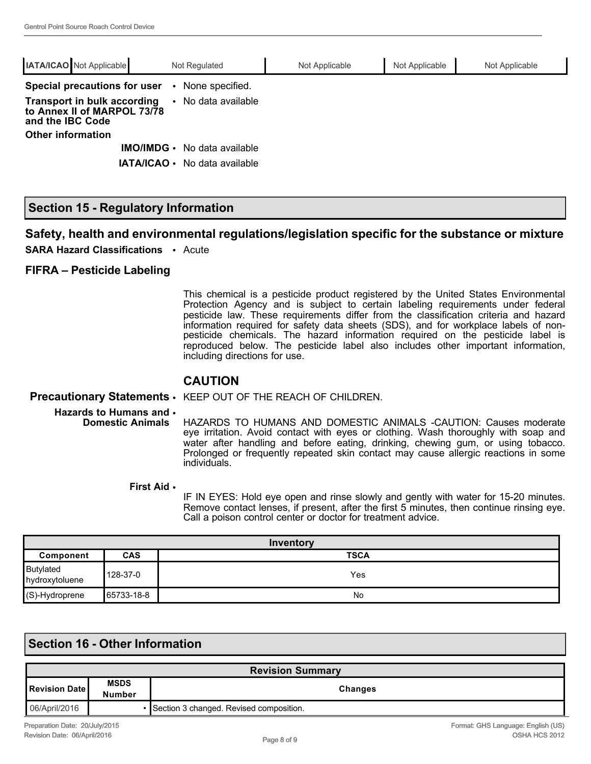| <b>IATA/ICAO</b> Not Applicable                                                       | Not Regulated       | Not Applicable | Not Applicable | Not Applicable |
|---------------------------------------------------------------------------------------|---------------------|----------------|----------------|----------------|
| Special precautions for user                                                          | • None specified.   |                |                |                |
| <b>Transport in bulk according</b><br>to Annex II of MARPOL 73/78<br>and the IBC Code | • No data available |                |                |                |
| <b>Other information</b>                                                              |                     |                |                |                |
| $IMO/IMDG$ .                                                                          | No data available   |                |                |                |
| <b>IATA/ICAO •</b>                                                                    | No data available   |                |                |                |

### **Section 15 - Regulatory Information**

#### **Safety, health and environmental regulations/legislation specific for the substance or mixture**

**SARA Hazard Classifications** • Acute

#### **FIFRA – Pesticide Labeling**

This chemical is a pesticide product registered by the United States Environmental Protection Agency and is subject to certain labeling requirements under federal pesticide law. These requirements differ from the classification criteria and hazard information required for safety data sheets (SDS), and for workplace labels of nonpesticide chemicals. The hazard information required on the pesticide label is reproduced below. The pesticide label also includes other important information, including directions for use.

#### **CAUTION**

#### **Precautionary Statements** • KEEP OUT OF THE REACH OF CHILDREN.

**Hazards to Humans and**  • **Domestic Animals**

HAZARDS TO HUMANS AND DOMESTIC ANIMALS -CAUTION: Causes moderate eye irritation. Avoid contact with eyes or clothing. Wash thoroughly with soap and water after handling and before eating, drinking, chewing gum, or using tobacco. Prolonged or frequently repeated skin contact may cause allergic reactions in some individuals.

#### **First Aid** •

IF IN EYES: Hold eye open and rinse slowly and gently with water for 15-20 minutes. Remove contact lenses, if present, after the first 5 minutes, then continue rinsing eye. Call a poison control center or doctor for treatment advice.

| Inventory                   |            |             |
|-----------------------------|------------|-------------|
| Component                   | <b>CAS</b> | <b>TSCA</b> |
| Butylated<br>hydroxytoluene | 128-37-0   | Yes         |
| $\sqrt{(S)}$ -Hydroprene    | 65733-18-8 | No          |

## **Section 16 - Other Information**

| <b>Revision Summary</b> |                       |                                         |
|-------------------------|-----------------------|-----------------------------------------|
| l Revision Date I       | <b>MSDS</b><br>Number | Changes                                 |
| 06/April/2016           |                       | Section 3 changed. Revised composition. |